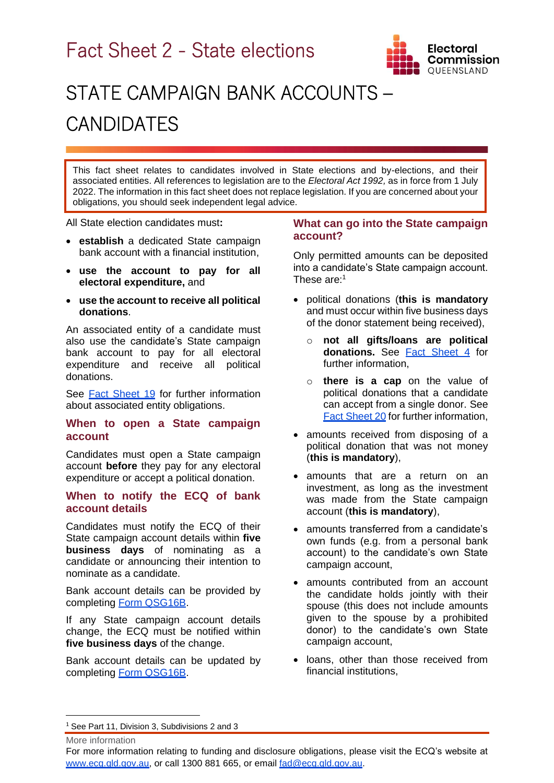Fact Sheet 2 - State elections



# STATE CAMPAIGN BANK ACCOUNTS – **CANDIDATES**

This fact sheet relates to candidates involved in State elections and by-elections, and their associated entities. All references to legislation are to the *Electoral Act 1992,* as in force from 1 July 2022. The information in this fact sheet does not replace legislation. If you are concerned about your obligations, you should seek independent legal advice.

All State election candidates must**:**

- **establish** a dedicated State campaign bank account with a financial institution,
- **use the account to pay for all electoral expenditure,** and
- **use the account to receive all political donations**.

An associated entity of a candidate must also use the candidate's State campaign bank account to pay for all electoral expenditure and receive all political donations.

See [Fact Sheet 19](https://www.ecq.qld.gov.au/election-participants/handbooks,-fact-sheets-and-forms) for further information about associated entity obligations.

### **When to open a State campaign account**

Candidates must open a State campaign account **before** they pay for any electoral expenditure or accept a political donation.

#### **When to notify the ECQ of bank account details**

Candidates must notify the ECQ of their State campaign account details within **five business days** of nominating as a candidate or announcing their intention to nominate as a candidate.

Bank account details can be provided by completing [Form QSG16B.](https://www.ecq.qld.gov.au/election-participants/handbooks,-fact-sheets-and-forms)

If any State campaign account details change, the ECQ must be notified within **five business days** of the change.

Bank account details can be updated by completing [Form QSG16B.](https://www.ecq.qld.gov.au/election-participants/handbooks,-fact-sheets-and-forms)

#### **What can go into the State campaign account?**

Only permitted amounts can be deposited into a candidate's State campaign account. These are:<sup>1</sup>

- political donations (**this is mandatory** and must occur within five business days of the donor statement being received),
	- o **not all gifts/loans are political donations.** See [Fact Sheet 4](https://www.ecq.qld.gov.au/election-participants/handbooks,-fact-sheets-and-forms) for further information,
	- o **there is a cap** on the value of political donations that a candidate can accept from a single donor. See [Fact Sheet 2](https://www.ecq.qld.gov.au/election-participants/handbooks,-fact-sheets-and-forms)0 for further information,
- amounts received from disposing of a political donation that was not money (**this is mandatory**),
- amounts that are a return on an investment, as long as the investment was made from the State campaign account (**this is mandatory**),
- amounts transferred from a candidate's own funds (e.g. from a personal bank account) to the candidate's own State campaign account,
- amounts contributed from an account the candidate holds jointly with their spouse (this does not include amounts given to the spouse by a prohibited donor) to the candidate's own State campaign account,
- loans, other than those received from financial institutions,

More information

<sup>&</sup>lt;sup>1</sup> See Part 11, Division 3, Subdivisions 2 and 3

For more information relating to funding and disclosure obligations, please visit the ECQ's website at [www.ecq.qld.gov.au,](http://www.ecq.qld.gov.au/) or call 1300 881 665, or email [fad@ecq.qld.gov.au.](mailto:fad@ecq.qld.gov.au)